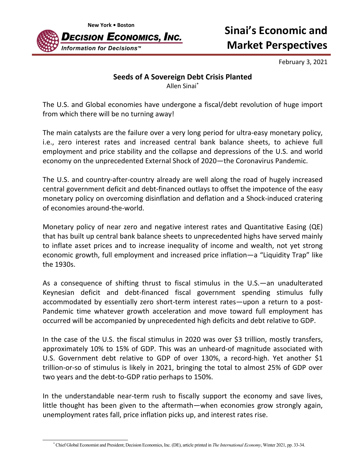

## **Market Perspectives**

February 3, 2021

## **Seeds of A Sovereign Debt Crisis Planted**

Allen Sinai\*

The U.S. and Global economies have undergone a fiscal/debt revolution of huge import from which there will be no turning away!

The main catalysts are the failure over a very long period for ultra-easy monetary policy, i.e., zero interest rates and increased central bank balance sheets, to achieve full employment and price stability and the collapse and depressions of the U.S. and world economy on the unprecedented External Shock of 2020—the Coronavirus Pandemic.

The U.S. and country-after-country already are well along the road of hugely increased central government deficit and debt‐financed outlays to offset the impotence of the easy monetary policy on overcoming disinflation and deflation and a Shock‐induced cratering of economies around‐the‐world.

Monetary policy of near zero and negative interest rates and Quantitative Easing (QE) that has built up central bank balance sheets to unprecedented highs have served mainly to inflate asset prices and to increase inequality of income and wealth, not yet strong economic growth, full employment and increased price inflation—a "Liquidity Trap" like the 1930s.

As a consequence of shifting thrust to fiscal stimulus in the U.S.—an unadulterated Keynesian deficit and debt‐financed fiscal government spending stimulus fully accommodated by essentially zero short-term interest rates—upon a return to a post-Pandemic time whatever growth acceleration and move toward full employment has occurred will be accompanied by unprecedented high deficits and debt relative to GDP.

In the case of the U.S. the fiscal stimulus in 2020 was over \$3 trillion, mostly transfers, approximately 10% to 15% of GDP. This was an unheard‐of magnitude associated with U.S. Government debt relative to GDP of over 130%, a record-high. Yet another \$1 trillion‐or‐so of stimulus is likely in 2021, bringing the total to almost 25% of GDP over two years and the debt‐to‐GDP ratio perhaps to 150%.

In the understandable near-term rush to fiscally support the economy and save lives, little thought has been given to the aftermath—when economies grow strongly again, unemployment rates fall, price inflation picks up, and interest rates rise.

<sup>\*</sup> Chief Global Economist and President; Decision Economics, Inc. (DE), article printed in *The International Economy*, Winter 2021, pp. 33-34.